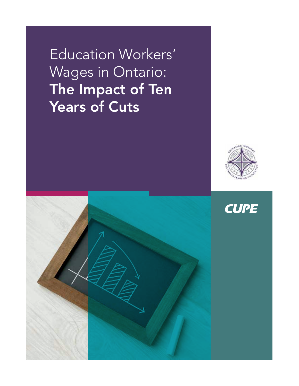Education Workers' Wages in Ontario: The Impact of Ten Years of Cuts



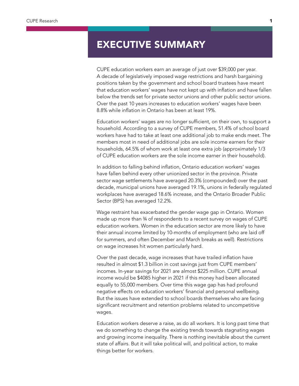### EXECUTIVE SUMMARY

CUPE education workers earn an average of just over \$39,000 per year. A decade of legislatively imposed wage restrictions and harsh bargaining positions taken by the government and school board trustees have meant that education workers' wages have not kept up with inflation and have fallen below the trends set for private sector unions and other public sector unions. Over the past 10 years increases to education workers' wages have been 8.8% while inflation in Ontario has been at least 19%.

Education workers' wages are no longer sufficient, on their own, to support a household. According to a survey of CUPE members, 51.4% of school board workers have had to take at least one additional job to make ends meet. The members most in need of additional jobs are sole income earners for their households, 64.5% of whom work at least one extra job (approximately 1/3 of CUPE education workers are the sole income earner in their household).

In addition to falling behind inflation, Ontario education workers' wages have fallen behind every other unionized sector in the province. Private sector wage settlements have averaged 20.3% (compounded) over the past decade, municipal unions have averaged 19.1%, unions in federally regulated workplaces have averaged 18.6% increase, and the Ontario Broader Public Sector (BPS) has averaged 12.2%.

Wage restraint has exacerbated the gender wage gap in Ontario. Women made up more than ¾ of respondents to a recent survey on wages of CUPE education workers. Women in the education sector are more likely to have their annual income limited by 10-months of employment (who are laid off for summers, and often December and March breaks as well). Restrictions on wage increases hit women particularly hard.

Over the past decade, wage increases that have trailed inflation have resulted in almost \$1.3 billion in cost savings just from CUPE members' incomes. In-year savings for 2021 are almost \$225 million. CUPE annual income would be \$4085 higher in 2021 if this money had been allocated equally to 55,000 members. Over time this wage gap has had profound negative effects on education workers' financial and personal wellbeing. But the issues have extended to school boards themselves who are facing significant recruitment and retention problems related to uncompetitive wages.

Education workers deserve a raise, as do all workers. It is long past time that we do something to change the existing trends towards stagnating wages and growing income inequality. There is nothing inevitable about the current state of affairs. But it will take political will, and political action, to make things better for workers.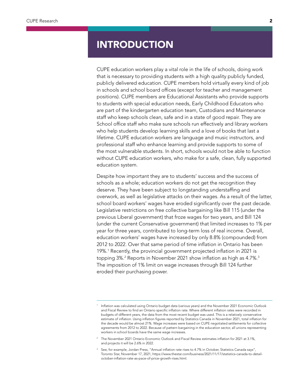### **INTRODUCTION**

CUPE education workers play a vital role in the life of schools, doing work that is necessary to providing students with a high quality publicly funded, publicly delivered education. CUPE members hold virtually every kind of job in schools and school board offices (except for teacher and management positions). CUPE members are Educational Assistants who provide supports to students with special education needs, Early Childhood Educators who are part of the kindergarten education team, Custodians and Maintenance staff who keep schools clean, safe and in a state of good repair. They are School office staff who make sure schools run effectively and library workers who help students develop learning skills and a love of books that last a lifetime. CUPE education workers are language and music instructors, and professional staff who enhance learning and provide supports to some of the most vulnerable students. In short, schools would not be able to function without CUPE education workers, who make for a safe, clean, fully supported education system.

Despite how important they are to students' success and the success of schools as a whole; education workers do not get the recognition they deserve. They have been subject to longstanding understaffing and overwork, as well as legislative attacks on their wages. As a result of the latter, school board workers' wages have eroded significantly over the past decade. Legislative restrictions on free collective bargaining like Bill 115 (under the previous Liberal government) that froze wages for two years, and Bill 124 (under the current Conservative government) that limited increases to 1% per year for three years, contributed to long-term loss of real income. Overall, education workers' wages have increased by only 8.8% (compounded) from 2012 to 2022. Over that same period of time inflation in Ontario has been 19%.1 Recently, the provincial government projected inflation in 2021 is topping 3%. $^2$  Reports in November 2021 show inflation as high as 4.7%. $^3$ The imposition of 1% limit on wage increases through Bill 124 further eroded their purchasing power.

<sup>1</sup> Inflation was calculated using Ontario budget data (various years) and the November 2021 Economic Outlook and Fiscal Review to find an Ontario specific inflation rate. Where different inflation rates were recorded in budgets of different years, the data from the most recent budget was used. This is a relatively conservative estimate of inflation. Using inflation figures reported by Statistics Canada in November 2021, total inflation for the decade would be almost 21%. Wage increases were based on CUPE negotiated settlements for collective agreements from 2012 to 2022. Because of pattern bargaining in the education sector, all unions representing workers in school boards have the same wage increases.

<sup>&</sup>lt;sup>2</sup> The November 2021 Ontario Economic Outlook and Fiscal Review estimates inflation for 2021 at 3.1%, and projects it will be 2.6% in 2022.

See, for example, Jordan Press, "Annual inflation rate rises to 4.7% in October, Statistics Canada says", Toronto Star, November 17, 2021, https://www.thestar.com/business/2021/11/17/statistics-canada-to-detailoctober-inflation-rate-as-pace-of-price-growth-rises.html.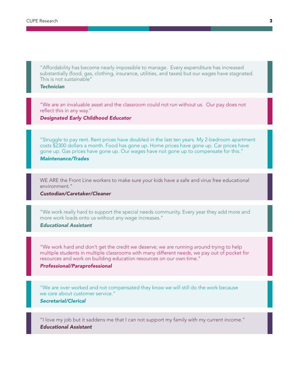"Affordability has become nearly impossible to manage. Every expenditure has increased substantially (food, gas, clothing, insurance, utilities, and taxes) but our wages have stagnated. This is not sustainable"

*Technician* 

"We are an invaluable asset and the classroom could not run without us. Our pay does not reflect this in any way."

*Designated Early Childhood Educator* 

"Struggle to pay rent. Rent prices have doubled in the last ten years. My 2-bedroom apartment costs \$2300 dollars a month. Food has gone up. Home prices have gone up. Car prices have gone up. Gas prices have gone up. Our wages have not gone up to compensate for this."

*Maintenance/Trades* 

WE ARE the Front Line workers to make sure your kids have a safe and virus free educational environment."

*Custodian/Caretaker/Cleaner*

"We work really hard to support the special needs community. Every year they add more and more work loads onto us without any wage increases."

*Educational Assistant* 

"We work hard and don't get the credit we deserve; we are running around trying to help multiple students in multiple classrooms with many different needs, we pay out of pocket for resources and work on building education resources on our own time."

#### *Professional/Paraprofessional*

"We are over worked and not compensated they know we will still do the work because we care about customer service."

*Secretarial/Clerical* 

"I love my job but it saddens me that I can not support my family with my current income." *Educational Assistant*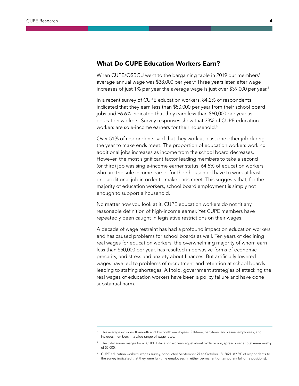#### What Do CUPE Education Workers Earn?

When CUPE/OSBCU went to the bargaining table in 2019 our members' average annual wage was \$38,000 per year.<sup>4</sup> Three years later, after wage increases of just 1% per year the average wage is just over \$39,000 per year. $5$ 

In a recent survey of CUPE education workers, 84.2% of respondents indicated that they earn less than \$50,000 per year from their school board jobs and 96.6% indicated that they earn less than \$60,000 per year as education workers. Survey responses show that 33% of CUPE education workers are sole-income earners for their household. $^6$ 

Over 51% of respondents said that they work at least one other job during the year to make ends meet. The proportion of education workers working additional jobs increases as income from the school board decreases. However, the most significant factor leading members to take a second (or third) job was single-income earner status: 64.5% of education workers who are the sole income earner for their household have to work at least one additional job in order to make ends meet. This suggests that, for the majority of education workers, school board employment is simply not enough to support a household.

No matter how you look at it, CUPE education workers do not fit any reasonable definition of high-income earner. Yet CUPE members have repeatedly been caught in legislative restrictions on their wages.

A decade of wage restraint has had a profound impact on education workers and has caused problems for school boards as well. Ten years of declining real wages for education workers, the overwhelming majority of whom earn less than \$50,000 per year, has resulted in pervasive forms of economic precarity, and stress and anxiety about finances. But artificially lowered wages have led to problems of recruitment and retention at school boards leading to staffing shortages. All told, government strategies of attacking the real wages of education workers have been a policy failure and have done substantial harm.

This average includes 10-month and 12-month employees, full-time, part-time, and casual employees, and includes members in a wide range of wage rates.

<sup>&</sup>lt;sup>5</sup> The total annual wages for all CUPE Education workers equal about \$2.16 billion, spread over a total membership of 55,000.

<sup>6</sup> CUPE education workers' wages survey, conducted September 27 to October 18, 2021. 89.5% of respondents to the survey indicated that they were full-time employees (in either permanent or temporary full-time positions).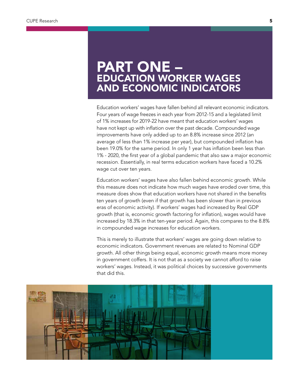## PART ONE – EDUCATION WORKER WAGES AND ECONOMIC INDICATORS

Education workers' wages have fallen behind all relevant economic indicators. Four years of wage freezes in each year from 2012-15 and a legislated limit of 1% increases for 2019-22 have meant that education workers' wages have not kept up with inflation over the past decade. Compounded wage improvements have only added up to an 8.8% increase since 2012 (an average of less than 1% increase per year), but compounded inflation has been 19.0% for the same period. In only 1 year has inflation been less than 1% - 2020, the first year of a global pandemic that also saw a major economic recession. Essentially, in real terms education workers have faced a 10.2% wage cut over ten years.

Education workers' wages have also fallen behind economic growth. While this measure does not indicate how much wages have eroded over time, this measure does show that education workers have not shared in the benefits ten years of growth (even if that growth has been slower than in previous eras of economic activity). If workers' wages had increased by Real GDP growth (that is, economic growth factoring for inflation), wages would have increased by 18.3% in that ten-year period. Again, this compares to the 8.8% in compounded wage increases for education workers.

This is merely to illustrate that workers' wages are going down relative to economic indicators. Government revenues are related to Nominal GDP growth. All other things being equal, economic growth means more money in government coffers. It is not that as a society we cannot afford to raise workers' wages. Instead, it was political choices by successive governments that did this.

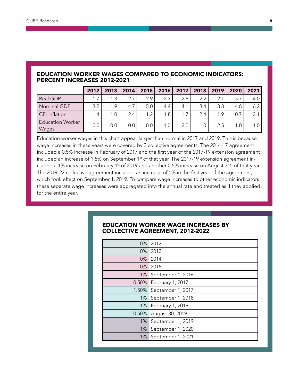#### EDUCATION WORKER WAGES COMPARED TO ECONOMIC INDICATORS: PERCENT INCREASES 2012-2021

|                                  | 2012 | 2013 | 2014          | 2015    | 2016             | 2017 | 2018             | 2019 | 2020   | 2021 |
|----------------------------------|------|------|---------------|---------|------------------|------|------------------|------|--------|------|
| Real GDP                         |      | 1.3  | 2.7           | 2.9     | 2.3              | 2.8  | 2.2              | 2.1  | $-5.7$ | 4.0  |
| Nominal GDP                      | 3.2  | 1.9  | 4.7           | 5.0     | 4.4              | 4.1  | 3.4              | 3.8  | $-4.8$ | 6.2  |
| CPI Inflation                    | 1.4  | 1.0  | $2.4^{\circ}$ | 1.2     | 1.8              |      | 2.4              | 1.9  | 0.7    | 3.1  |
| <b>Education Worker</b><br>Wages | 0.0  | 0.0  | 0.0           | $0.0\,$ | 1.0 <sub>l</sub> | 2.0  | 1.0 <sub>1</sub> | 2.5  |        | 1.0  |

Education worker wages in this chart appear larger than normal in 2017 and 2019. This is because wage increases in these years were covered by 2 collective agreements. The 2014-17 agreement included a 0.5% increase in February of 2017 and the first year of the 2017-19 extension agreement included an increase of 1.5% on September 1<sup>st</sup> of that year. The 2017-19 extension agreement included a 1% increase on February 1<sup>st</sup> of 2019 and another 0.5% increase on August 31<sup>st</sup> of that year. The 2019-22 collective agreement included an increase of 1% in the first year of the agreement, which took effect on September 1, 2019. To compare wage increases to other economic indicators these separate wage increases were aggregated into the annual rate and treated as if they applied for the entire year.

#### EDUCATION WORKER WAGE INCREASES BY COLLECTIVE AGREEMENT, 2012-2022

| 0%       | 2012              |
|----------|-------------------|
| 0%       | 2013              |
| 0%       | 2014              |
| $0\%$    | 2015              |
| $1\%$    | September 1, 2016 |
| $0.50\%$ | February 1, 2017  |
| 1.50%    | September 1, 2017 |
| $1\%$    | September 1, 2018 |
| 1%       | February 1, 2019  |
| 0.50%    | August 30, 2019   |
| 1%       | September 1, 2019 |
| 1%       | September 1, 2020 |
| $1\%$    | September 1, 2021 |
|          |                   |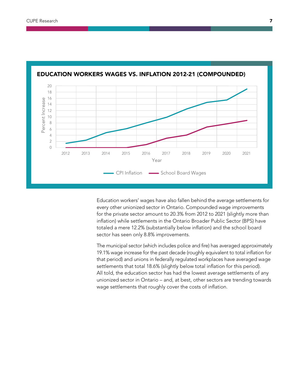

#### EDUCATION WORKERS WAGES VS. INFLATION 2012-21 (COMPOUNDED)

Education workers' wages have also fallen behind the average settlements for every other unionized sector in Ontario. Compounded wage improvements for the private sector amount to 20.3% from 2012 to 2021 (slightly more than inflation) while settlements in the Ontario Broader Public Sector (BPS) have totaled a mere 12.2% (substantially below inflation) and the school board sector has seen only 8.8% improvements.

The municipal sector (which includes police and fire) has averaged approximately 19.1% wage increase for the past decade (roughly equivalent to total inflation for that period) and unions in federally regulated workplaces have averaged wage settlements that total 18.6% (slightly below total inflation for this period). All told, the education sector has had the lowest average settlements of any unionized sector in Ontario – and, at best, other sectors are trending towards wage settlements that roughly cover the costs of inflation.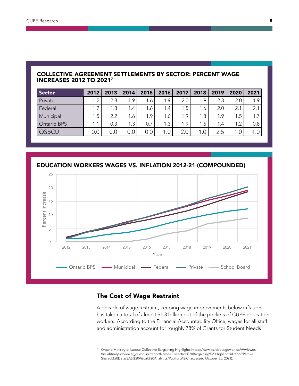#### COLLECTIVE AGREEMENT SETTLEMENTS BY SECTOR: PERCENT WAGE INCREASES 2012 TO 20217

| <b>Sector</b>      | 2012 | 2013             | 2014 | 2015 | 2016             | 2017             | 2018 | 2019 | 2020 | 2021 |
|--------------------|------|------------------|------|------|------------------|------------------|------|------|------|------|
| Private            | 1.2  | 2.3              | 1.9  | 1.6  | 1.9              | 2.0              | 1.9  | 2.3  | 2.0  | 1.9  |
| Federal            | . .7 | 1.8 <sub>1</sub> | 1.4  | 1.6  | 1.4 <sub>1</sub> | 1.5 <sub>1</sub> | 1.6  | 2.0  | 2.1  | 2.1  |
| Municipal          | 1.5  | 2.2              | 1.6  | 1.9  | 1.6              | 1.9              | 1.8  | 1.9  | 1.5  | 1.7  |
| <b>Ontario BPS</b> | 1.1  | 0.3              | 1.3  | 0.7  | 1.3              | 1.9              | 1.6  | 1.4  | 1.2  | 0.8  |
| <b>OSBCU</b>       | 0.0  | $0.0\,$          | 0.0  | 0.0  | $0_{\cdot}$      | 2.0              |      | 2.5  |      | 1.   |

EDUCATION WORKERS WAGES VS. INFLATION 2012-21 (COMPOUNDED)



#### The Cost of Wage Restraint

A decade of wage restraint, keeping wage improvements below inflation, has taken a total of almost \$1.3 billion out of the pockets of CUPE education workers. According to the Financial Accountability Office, wages for all staff and administration account for roughly 78% of Grants for Student Needs

<sup>7</sup> Ontario Ministry of Labour Collective Bargaining Highlights https://www.lrs.labour.gov.on.ca/VAViewer/ VisualAnalyticsViewer\_guest.jsp?reportName=Collective%20Bargaining%20Highlights&reportPath=/ Shared%20Data/SAS%20Visual%20Analytics/Public/LASR/ (accessed October 25, 2021).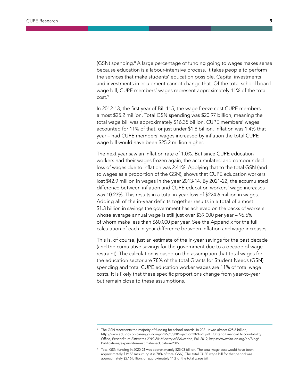(GSN) spending.<sup>8</sup> A large percentage of funding going to wages makes sense because education is a labour-intensive process. It takes people to perform the services that make students' education possible. Capital investments and investments in equipment cannot change that. Of the total school board wage bill, CUPE members' wages represent approximately 11% of the total  $cost.^9$ 

In 2012-13, the first year of Bill 115, the wage freeze cost CUPE members almost \$25.2 million. Total GSN spending was \$20.97 billion, meaning the total wage bill was approximately \$16.35 billion. CUPE members' wages accounted for 11% of that, or just under \$1.8 billion. Inflation was 1.4% that year – had CUPE members' wages increased by inflation the total CUPE wage bill would have been \$25.2 million higher.

The next year saw an inflation rate of 1.0%. But since CUPE education workers had their wages frozen again, the accumulated and compounded loss of wages due to inflation was 2.41%. Applying that to the total GSN (and to wages as a proportion of the GSN), shows that CUPE education workers lost \$42.9 million in wages in the year 2013-14. By 2021-22, the accumulated difference between inflation and CUPE education workers' wage increases was 10.23%. This results in a total in-year loss of \$224.6 million in wages. Adding all of the in-year deficits together results in a total of almost \$1.3 billion in savings the government has achieved on the backs of workers whose average annual wage is still just over \$39,000 per year – 96.6% of whom make less than \$60,000 per year. See the Appendix for the full calculation of each in-year difference between inflation and wage increases.

This is, of course, just an estimate of the in-year savings for the past decade (and the cumulative savings for the government due to a decade of wage restraint). The calculation is based on the assumption that total wages for the education sector are 78% of the total Grants for Student Needs (GSN) spending and total CUPE education worker wages are 11% of total wage costs. It is likely that these specific proportions change from year-to-year but remain close to these assumptions.

The GSN represents the majority of funding for school boards. In 2021 it was almost \$25.6 billion, http://www.edu.gov.on.ca/eng/funding/2122/GSNProjection2021-22.pdf. Ontario Financial Accountability Office, *Expenditure Estimates 2019-20: Ministry of Education*, Fall 2019, https://www.fao-on.org/en/Blog/ Publications/expenditure-estimates-education-2019.

Total GSN funding in 2020-21 was approximately \$25.03 billion. The total wage cost would have been approximately \$19.53 (assuming it is 78% of total GSN). The total CUPE wage bill for that period was approximately \$2.16 billion, or approximately 11% of the total wage bill.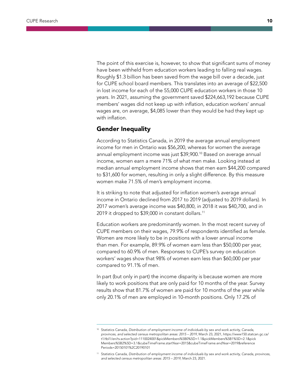The point of this exercise is, however, to show that significant sums of money have been withheld from education workers leading to falling real wages. Roughly \$1.3 billion has been saved from the wage bill over a decade, just for CUPE school board members. This translates into an average of \$22,500 in lost income for each of the 55,000 CUPE education workers in those 10 years. In 2021, assuming the government saved \$224,663,192 because CUPE members' wages did not keep up with inflation, education workers' annual wages are, on average, \$4,085 lower than they would be had they kept up with inflation.

#### Gender Inequality

According to Statistics Canada, in 2019 the average annual employment income for men in Ontario was \$56,200, whereas for women the average annual employment income was just \$39,900.10 Based on average annual income, women earn a mere 71% of what men make. Looking instead at median annual employment income shows that men earn \$44,200 compared to \$31,600 for women, resulting in only a slight difference. By this measure women make 71.5% of men's employment income.

It is striking to note that adjusted for inflation women's average annual income in Ontario declined from 2017 to 2019 (adjusted to 2019 dollars). In 2017 women's average income was \$40,800, in 2018 it was \$40,700, and in 2019 it dropped to \$39,000 in constant dollars.<sup>11</sup>

Education workers are predominantly women. In the most recent survey of CUPE members on their wages, 79.9% of respondents identified as female. Women are more likely to be in positions with a lower annual income than men. For example, 89.9% of women earn less than \$50,000 per year, compared to 60.9% of men. Responses to CUPE's survey on education workers' wages show that 98% of women earn less than \$60,000 per year compared to 91.1% of men.

In part (but only in part) the income disparity is because women are more likely to work positions that are only paid for 10 months of the year. Survey results show that 81.7% of women are paid for 10 months of the year while only 20.1% of men are employed in 10-month positions. Only 17.2% of

<sup>10</sup> Statistics Canada, *Distribution of employment income of individuals by sex and work activity, Canada, provinces, and selected census metropolitan areas: 2015 – 2019*, March 23, 2021, https://www150.statcan.gc.ca/ t1/tbl1/en/tv.action?pid=1110024001&pickMembers%5B0%5D=1.1&pickMembers%5B1%5D=2.1&pick Members%5B2%5D=3.1&cubeTimeFrame.startYear=2015&cubeTimeFrame.endYear=2019&reference Periods=20150101%2C20190101

<sup>11</sup> Statistics Canada, *Distribution of employment income of individuals by sex and work activity, Canada, provinces, and selected census metropolitan areas: 2015 – 2019*, March 23, 2021.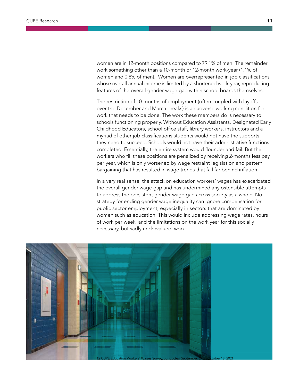women are in 12-month positions compared to 79.1% of men. The remainder work something other than a 10-month or 12-month work-year (1.1% of women and 0.8% of men). Women are overrepresented in job classifications whose overall annual income is limited by a shortened work-year, reproducing features of the overall gender wage gap within school boards themselves.

The restriction of 10-months of employment (often coupled with layoffs over the December and March breaks) is an adverse working condition for work that needs to be done. The work these members do is necessary to schools functioning properly. Without Education Assistants, Designated Early Childhood Educators, school office staff, library workers, instructors and a myriad of other job classifications students would not have the supports they need to succeed. Schools would not have their administrative functions completed. Essentially, the entire system would flounder and fail. But the workers who fill these positions are penalized by receiving 2-months less pay per year, which is only worsened by wage restraint legislation and pattern bargaining that has resulted in wage trends that fall far behind inflation.

In a very real sense, the attack on education workers' wages has exacerbated the overall gender wage gap and has undermined any ostensible attempts to address the persistent gender wage gap across society as a whole. No strategy for ending gender wage inequality can ignore compensation for public sector employment, especially in sectors that are dominated by women such as education. This would include addressing wage rates, hours of work per week, and the limitations on the work year for this socially necessary, but sadly undervalued, work.

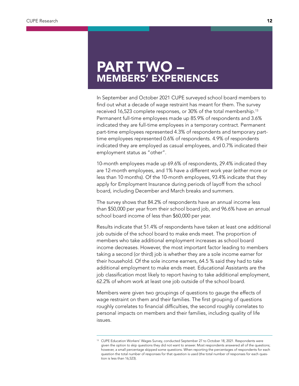# PART TWO – MEMBERS' EXPERIENCES

In September and October 2021 CUPE surveyed school board members to find out what a decade of wage restraint has meant for them. The survey received 16,523 complete responses, or 30% of the total membership.<sup>13</sup> Permanent full-time employees made up 85.9% of respondents and 3.6% indicated they are full-time employees in a temporary contract. Permanent part-time employees represented 4.3% of respondents and temporary parttime employees represented 0.6% of respondents. 4.9% of respondents indicated they are employed as casual employees, and 0.7% indicated their employment status as "other".

10-month employees made up 69.6% of respondents, 29.4% indicated they are 12-month employees, and 1% have a different work year (either more or less than 10 months). Of the 10-month employees, 93.4% indicate that they apply for Employment Insurance during periods of layoff from the school board, including December and March breaks and summers.

The survey shows that 84.2% of respondents have an annual income less than \$50,000 per year from their school board job, and 96.6% have an annual school board income of less than \$60,000 per year.

Results indicate that 51.4% of respondents have taken at least one additional job outside of the school board to make ends meet. The proportion of members who take additional employment increases as school board income decreases. However, the most important factor leading to members taking a second (or third) job is whether they are a sole income earner for their household. Of the sole income earners, 64.5 % said they had to take additional employment to make ends meet. Educational Assistants are the job classification most likely to report having to take additional employment, 62.2% of whom work at least one job outside of the school board.

Members were given two groupings of questions to gauge the effects of wage restraint on them and their families. The first grouping of questions roughly correlates to financial difficulties, the second roughly correlates to personal impacts on members and their families, including quality of life issues.

<sup>&</sup>lt;sup>13</sup> CUPE Education Workers' Wages Survey, conducted September 27 to October 18, 2021. Respondents were given the option to skip questions they did not want to answer. Most respondents answered all of the questions; however, a small percentage skipped some questions. When reporting the percentages of respondents for each question the total number of responses for that question is used (the total number of responses for each question is less than 16,523).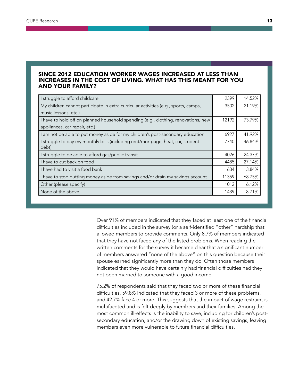#### SINCE 2012 EDUCATION WORKER WAGES INCREASED AT LESS THAN INCREASES IN THE COST OF LIVING. WHAT HAS THIS MEANT FOR YOU AND YOUR FAMILY?

| I struggle to afford childcare                                                           | 2399  | 14.52% |
|------------------------------------------------------------------------------------------|-------|--------|
| My children cannot participate in extra curricular activities (e.g., sports, camps,      | 3502  | 21.19% |
| music lessons, etc.)                                                                     |       |        |
| I have to hold off on planned household spending (e.g., clothing, renovations, new       | 12192 | 73.79% |
| appliances, car repair, etc.)                                                            |       |        |
| am not be able to put money aside for my children's post-secondary education             | 6927  | 41.92% |
| I struggle to pay my monthly bills (including rent/mortgage, heat, car, student<br>debt) | 7740  | 46.84% |
| I struggle to be able to afford gas/public transit                                       | 4026  | 24.37% |
| I have to cut back on food                                                               | 4485  | 27.14% |
| I have had to visit a food bank                                                          | 634   | 3.84%  |
| I have to stop putting money aside from savings and/or drain my savings account          | 11359 | 68.75% |
| Other (please specify)                                                                   | 1012  | 6.12%  |
| None of the above                                                                        | 1439  | 8.71%  |

Over 91% of members indicated that they faced at least one of the financial difficulties included in the survey (or a self-identified "other" hardship that allowed members to provide comments. Only 8.7% of members indicated that they have not faced any of the listed problems. When reading the written comments for the survey it became clear that a significant number of members answered "none of the above" on this question because their spouse earned significantly more than they do. Often those members indicated that they would have certainly had financial difficulties had they not been married to someone with a good income.

75.2% of respondents said that they faced two or more of these financial difficulties, 59.8% indicated that they faced 3 or more of these problems, and 42.7% face 4 or more. This suggests that the impact of wage restraint is multifaceted and is felt deeply by members and their families. Among the most common ill-effects is the inability to save, including for children's postsecondary education, and/or the drawing down of existing savings, leaving members even more vulnerable to future financial difficulties.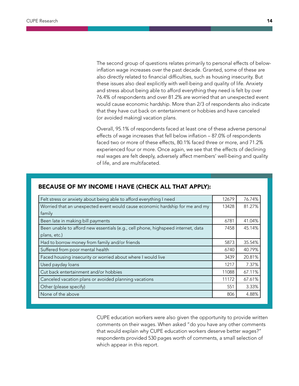The second group of questions relates primarily to personal effects of belowinflation wage increases over the past decade. Granted, some of these are also directly related to financial difficulties, such as housing insecurity. But these issues also deal explicitly with well-being and quality of life. Anxiety and stress about being able to afford everything they need is felt by over 76.4% of respondents and over 81.2% are worried that an unexpected event would cause economic hardship. More than 2/3 of respondents also indicate that they have cut back on entertainment or hobbies and have canceled (or avoided making) vacation plans.

Overall, 95.1% of respondents faced at least one of these adverse personal effects of wage increases that fell below inflation – 87.0% of respondents faced two or more of these effects, 80.1% faced three or more, and 71.2% experienced four or more. Once again, we see that the effects of declining real wages are felt deeply, adversely affect members' well-being and quality of life, and are multifaceted.

| Felt stress or anxiety about being able to afford everything I need              | 12679 | 76.74% |
|----------------------------------------------------------------------------------|-------|--------|
| Worried that an unexpected event would cause economic hardship for me and my     | 13428 | 81.27% |
| family                                                                           |       |        |
| Been late in making bill payments                                                | 6781  | 41.04% |
| Been unable to afford new essentials (e.g., cell phone, highspeed internet, data | 7458  | 45.14% |
| plans, etc.)                                                                     |       |        |
| Had to borrow money from family and/or friends                                   | 5873  | 35.54% |
| Suffered from poor mental health                                                 | 6740  | 40.79% |
| Faced housing insecurity or worried about where I would live                     | 3439  | 20.81% |
| Used payday loans                                                                | 1217  | 7.37%  |
| Cut back entertainment and/or hobbies                                            | 11088 | 67.11% |
| Canceled vacation plans or avoided planning vacations                            | 11172 | 67.61% |
| Other (please specify)                                                           | 551   | 3.33%  |
| None of the above                                                                | 806   | 4.88%  |

#### BECAUSE OF MY INCOME I HAVE (CHECK ALL THAT APPLY):

CUPE education workers were also given the opportunity to provide written comments on their wages. When asked "do you have any other comments that would explain why CUPE education workers deserve better wages?" respondents provided 530 pages worth of comments, a small selection of which appear in this report.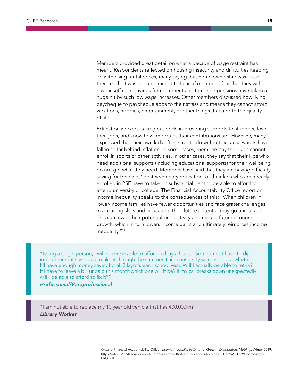Members provided great detail on what a decade of wage restraint has meant. Respondents reflected on housing insecurity and difficulties keeping up with rising rental prices, many saying that home ownership was out of their reach. It was not uncommon to hear of members' fear that they will have insufficient savings for retirement and that their pensions have taken a huge hit by such low wage increases. Other members discussed how living paycheque to paycheque adds to their stress and means they cannot afford vacations, hobbies, entertainment, or other things that add to the quality of life.

Education workers' take great pride in providing supports to students, love their jobs, and know how important their contributions are. However, many expressed that their own kids often have to do without because wages have fallen so far behind inflation. In some cases, members say their kids cannot enroll in sports or other activities. In other cases, they say that their kids who need additional supports (including educational supports) for their wellbeing do not get what they need. Members have said that they are having difficulty saving for their kids' post-secondary education, or their kids who are already enrolled in PSE have to take on substantial debt to be able to afford to attend university or college. The Financial Accountability Office report on income inequality speaks to the consequences of this: "When children in lower-income families have fewer opportunities and face grater challenges in acquiring skills and education, their future potential may go unrealized. This can lower their potential productivity and reduce future economic growth, which in turn lowers income gains and ultimately reinforces income inequality."14

"Being a single person, I will never be able to afford to buy a house. Sometimes I have to dip into retirement savings to make it through the summer. I am constantly worried about whether I'll have enough money saved for all 3 layoffs each school year. Will I actually be able to retire? If I have to leave a bill unpaid this month which one will it be? If my car breaks down unexpectedly will I be able to afford to fix it?"

#### *Professional/Paraprofessional*

"I am not able to replace my 10 year old vehicle that has 400,000km" *Library Worker* 

<sup>14</sup> Ontario Financial Accountability Office, *Income Inequality in Ontario: Growth, Distribution, Mobility*, Winter 2019, https://6485129990.saas.quicksilk.com/web/default/files/publications/Income%20Jan%202019/Income-report. FAO.pdf.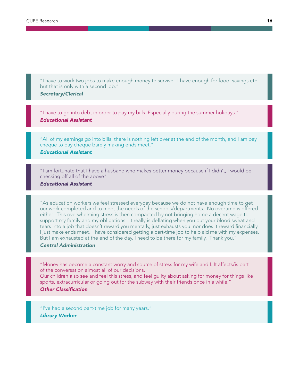"I have to work two jobs to make enough money to survive. I have enough for food, savings etc but that is only with a second job."

#### *Secretary/Clerical*

"I have to go into debt in order to pay my bills. Especially during the summer holidays." *Educational Assistant* 

"All of my earnings go into bills, there is nothing left over at the end of the month, and I am pay cheque to pay cheque barely making ends meet."

#### *Educational Assistant*

"I am fortunate that I have a husband who makes better money because if I didn't, I would be checking off all of the above"

#### *Educational Assistant*

"As education workers we feel stressed everyday because we do not have enough time to get our work completed and to meet the needs of the schools/departments. No overtime is offered either. This overwhelming stress is then compacted by not bringing home a decent wage to support my family and my obligations. It really is deflating when you put your blood sweat and tears into a job that doesn't reward you mentally, just exhausts you. nor does it reward financially. I just make ends meet. I have considered getting a part-time job to help aid me with my expenses. But I am exhausted at the end of the day, I need to be there for my family. Thank you."

#### *Central Administration*

"Money has become a constant worry and source of stress for my wife and I. It affects/is part of the conversation almost all of our decisions.

Our children also see and feel this stress, and feel guilty about asking for money for things like sports, extracurricular or going out for the subway with their friends once in a while."

#### *Other Classification*

"I've had a second part-time job for many years." *Library Worker*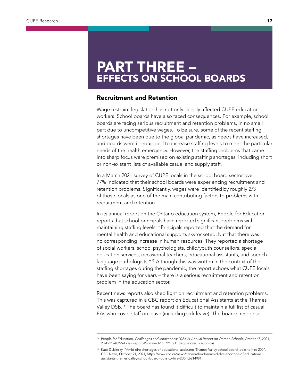# PART THREE – EFFECTS ON SCHOOL BOARDS

#### Recruitment and Retention

Wage restraint legislation has not only deeply affected CUPE education workers. School boards have also faced consequences. For example, school boards are facing serious recruitment and retention problems, in no small part due to uncompetitive wages. To be sure, some of the recent staffing shortages have been due to the global pandemic, as needs have increased, and boards were ill-equipped to increase staffing levels to meet the particular needs of the health emergency. However, the staffing problems that came into sharp focus were premised on existing staffing shortages, including short or non-existent lists of available casual and supply staff.

In a March 2021 survey of CUPE locals in the school board sector over 77% indicated that their school boards were experiencing recruitment and retention problems. Significantly, wages were identified by roughly 2/3 of those locals as one of the main contributing factors to problems with recruitment and retention.

In its annual report on the Ontario education system, People for Education reports that school principals have reported significant problems with maintaining staffing levels. "Principals reported that the demand for mental health and educational supports skyrocketed, but that there was no corresponding increase in human resources. They reported a shortage of social workers, school psychologists, child/youth counsellors, special education services, occasional teachers, educational assistants, and speech language pathologists."<sup>15</sup> Although this was written in the context of the staffing shortages during the pandemic, the report echoes what CUPE locals have been saying for years – there is a serious recruitment and retention problem in the education sector.

Recent news reports also shed light on recruitment and retention problems. This was captured in a CBC report on Educational Assistants at the Thames Valley DSB.<sup>16</sup> The board has found it difficult to maintain a full list of casual EAs who cover staff on leave (including sick leave). The board's response

<sup>15</sup> People for Education, *Challenges and Innovations: 2020-21 Annual Report on Ontario School*s, October 7, 2021, 2020-21-AOSS-Final-Report-Published-110721.pdf (peopleforeducation.ca).

<sup>&</sup>lt;sup>16</sup> Kate Dubinsky, "Amid dire shortages of educational assistants Thames Valley school board looks to hire 200", CBC News, October 21, 2021, https://www.cbc.ca/news/canada/london/amid-dire-shortage-of-educationalassistants-thames-valley-school-board-looks-to-hire-200-1.6214981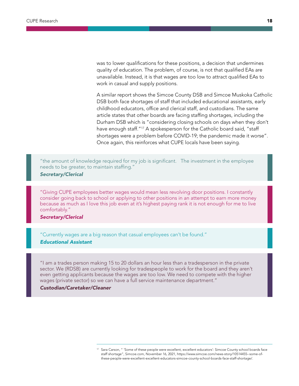was to lower qualifications for these positions, a decision that undermines quality of education. The problem, of course, is not that qualified EAs are unavailable. Instead, it is that wages are too low to attract qualified EAs to work in casual and supply positions.

A similar report shows the Simcoe County DSB and Simcoe Muskoka Catholic DSB both face shortages of staff that included educational assistants, early childhood educators, office and clerical staff, and custodians. The same article states that other boards are facing staffing shortages, including the Durham DSB which is "considering closing schools on days when they don't have enough staff."<sup>17</sup> A spokesperson for the Catholic board said, "staff shortages were a problem before COVID-19; the pandemic made it worse". Once again, this reinforces what CUPE locals have been saying.

"the amount of knowledge required for my job is significant. The investment in the employee needs to be greater, to maintain staffing."

#### *Secretary/Clerical*

"Giving CUPE employees better wages would mean less revolving door positions. I constantly consider going back to school or applying to other positions in an attempt to earn more money because as much as I love this job even at it's highest paying rank it is not enough for me to live comfortably."

#### *Secretary/Clerical*

"Currently wages are a big reason that casual employees can't be found." *Educational Assistant*

"I am a trades person making 15 to 20 dollars an hour less than a tradesperson in the private sector. We (RDSB) are currently looking for tradespeople to work for the board and they aren't even getting applicants because the wages are too low. We need to compete with the higher wages (private sector) so we can have a full service maintenance department."

#### *Custodian/Caretaker/Cleaner*

<sup>&</sup>lt;sup>17</sup> Sara Carson, " 'Some of these people were excellent, excellent educators': Simcoe County school boards face staff shortage", Simcoe.com, November 16, 2021, https://www.simcoe.com/news-story/10514455--some-ofthese-people-were-excellent-excellent-educators-simcoe-county-school-boards-face-staff-shortage/.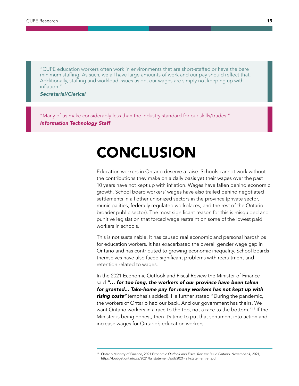"CUPE education workers often work in environments that are short-staffed or have the bare minimum staffing. As such, we all have large amounts of work and our pay should reflect that. Additionally, staffing and workload issues aside, our wages are simply not keeping up with inflation."

*Secretarial/Clerical*

"Many of us make considerably less than the industry standard for our skills/trades." *Information Technology Staff*

# CONCLUSION

Education workers in Ontario deserve a raise. Schools cannot work without the contributions they make on a daily basis yet their wages over the past 10 years have not kept up with inflation. Wages have fallen behind economic growth. School board workers' wages have also trailed behind negotiated settlements in all other unionized sectors in the province (private sector, municipalities, federally regulated workplaces, and the rest of the Ontario broader public sector). The most significant reason for this is misguided and punitive legislation that forced wage restraint on some of the lowest paid workers in schools.

This is not sustainable. It has caused real economic and personal hardships for education workers. It has exacerbated the overall gender wage gap in Ontario and has contributed to growing economic inequality. School boards themselves have also faced significant problems with recruitment and retention related to wages.

In the 2021 Economic Outlook and Fiscal Review the Minister of Finance said "... for too long, the workers of our province have been taken *for granted... Take-home pay for many workers has not kept up with rising costs"* (emphasis added). He further stated "During the pandemic, the workers of Ontario had our back. And our government has theirs. We want Ontario workers in a race to the top, not a race to the bottom."<sup>18</sup> If the Minister is being honest, then it's time to put that sentiment into action and increase wages for Ontario's education workers.

<sup>18</sup> Ontario Ministry of Finance, 2*021 Economic Outlook and Fiscal Review: Build Ontario*, November 4, 2021, https://budget.ontario.ca/2021/fallstatement/pdf/2021-fall-statement-en.pdf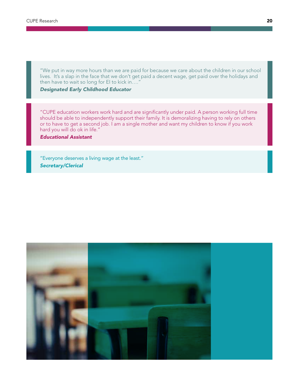"We put in way more hours than we are paid for because we care about the children in our school lives. It's a slap in the face that we don't get paid a decent wage, get paid over the holidays and then have to wait so long for EI to kick in…."

#### *Designated Early Childhood Educator*

"CUPE education workers work hard and are significantly under paid. A person working full time should be able to independently support their family. It is demoralizing having to rely on others or to have to get a second job. I am a single mother and want my children to know if you work hard you will do ok in life."

*Educational Assistant*

"Everyone deserves a living wage at the least." *Secretary/Clerical*

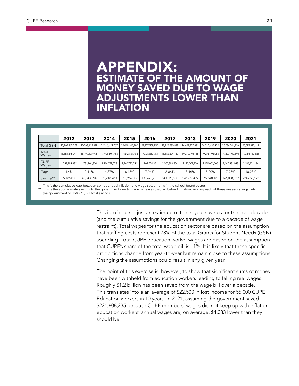### APPENDIX: ESTIMATE OF THE AMOUNT OF MONEY SAVED DUE TO WAGE ADJUSTMENTS LOWER THAN INFLATION

|                      | 2012           | 2013           | 2014           | 2015           | 2016           | 2017           | 2018           | 2019           | 2020           | 2021           |
|----------------------|----------------|----------------|----------------|----------------|----------------|----------------|----------------|----------------|----------------|----------------|
| <b>Total GSN</b>     | 20,967,365,758 | 20,768,115,379 | 22,316,422,767 | 22,619,146,780 | 22,957,509,950 | 23,926,530,938 | 24.629.477.931 | 24,715,635,972 | 25,034,744,736 | 25,595,817,417 |
| Total<br>Wages       | 16,354,545,291 | 16,199,129,996 | 17,406,809,758 | 17.642.934.488 | 17,906,857,761 | 18,662,694,132 | 19,210,992,786 | 19.278.196.058 | 19,527,100,894 | 19,964,737,585 |
| <b>CUPE</b><br>Wages | 1.798.999.982  | 1,781,904,300  | 1,914,749,073  | 1.940.722.794  | 1,969,754,354  | 2,052,896,354  | 2,113,209,206  | 2,120,601,566  | 2,147,981,098  | 2,196,121,134  |
| $Gap*$               | 1.4%           | 2.41%          | 4.87%          | 6.13%          | 7.04%          | 6.86%          | 8.46%          | 8.00%          | 7.73%          | 10.23%         |
| Savings**            | 25,186,000     | 42,943,894     | 93,248,280     | 118,966,307    | 138,670,707    | 140,828,690    | 178,777,499    | 169,648,125    | 166,038,939    | 224,663,192    |

This is the cumulative gap between compounded inflation and wage settlements in the school board sector.

\*\* This is the approximate savings to the government due to wage increases that lag behind inflation. Adding each of these in-year savings nets the government \$1,298,971,192 total savings.

> This is, of course, just an estimate of the in-year savings for the past decade (and the cumulative savings for the government due to a decade of wage restraint). Total wages for the education sector are based on the assumption that staffing costs represent 78% of the total Grants for Student Needs (GSN) spending. Total CUPE education worker wages are based on the assumption that CUPE's share of the total wage bill is 11%. It is likely that these specific proportions change from year-to-year but remain close to these assumptions. Changing the assumptions could result in any given year.

> The point of this exercise is, however, to show that significant sums of money have been withheld from education workers leading to falling real wages. Roughly \$1.2 billion has been saved from the wage bill over a decade. This translates into a an average of \$22,500 in lost income for 55,000 CUPE Education workers in 10 years. In 2021, assuming the government saved \$221,808,235 because CUPE members' wages did not keep up with inflation, education workers' annual wages are, on average, \$4,033 lower than they should be.